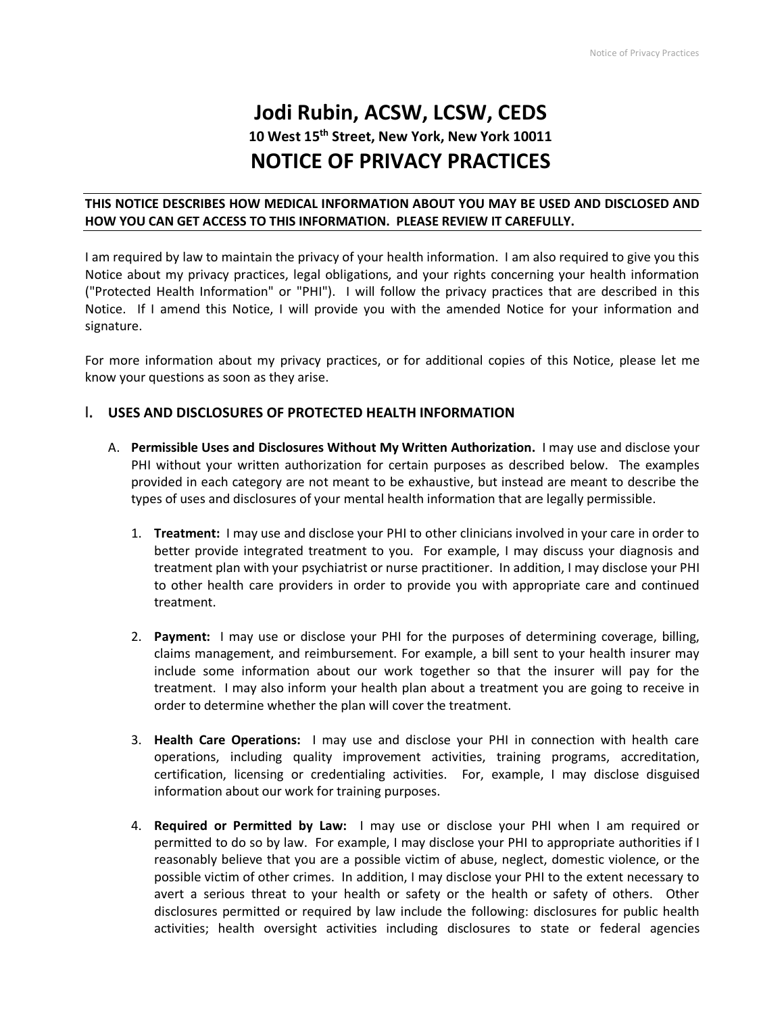# **Jodi Rubin, ACSW, LCSW, CEDS 10 West 15th Street, New York, New York 10011 NOTICE OF PRIVACY PRACTICES**

### **THIS NOTICE DESCRIBES HOW MEDICAL INFORMATION ABOUT YOU MAY BE USED AND DISCLOSED AND HOW YOU CAN GET ACCESS TO THIS INFORMATION. PLEASE REVIEW IT CAREFULLY.**

I am required by law to maintain the privacy of your health information. I am also required to give you this Notice about my privacy practices, legal obligations, and your rights concerning your health information ("Protected Health Information" or "PHI"). I will follow the privacy practices that are described in this Notice. If I amend this Notice, I will provide you with the amended Notice for your information and signature.

For more information about my privacy practices, or for additional copies of this Notice, please let me know your questions as soon as they arise.

## **I. USES AND DISCLOSURES OF PROTECTED HEALTH INFORMATION**

- A. **Permissible Uses and Disclosures Without My Written Authorization.** I may use and disclose your PHI without your written authorization for certain purposes as described below. The examples provided in each category are not meant to be exhaustive, but instead are meant to describe the types of uses and disclosures of your mental health information that are legally permissible.
	- 1. **Treatment:** I may use and disclose your PHI to other clinicians involved in your care in order to better provide integrated treatment to you. For example, I may discuss your diagnosis and treatment plan with your psychiatrist or nurse practitioner. In addition, I may disclose your PHI to other health care providers in order to provide you with appropriate care and continued treatment.
	- 2. **Payment:** I may use or disclose your PHI for the purposes of determining coverage, billing, claims management, and reimbursement. For example, a bill sent to your health insurer may include some information about our work together so that the insurer will pay for the treatment. I may also inform your health plan about a treatment you are going to receive in order to determine whether the plan will cover the treatment.
	- 3. **Health Care Operations:** I may use and disclose your PHI in connection with health care operations, including quality improvement activities, training programs, accreditation, certification, licensing or credentialing activities. For, example, I may disclose disguised information about our work for training purposes.
	- 4. **Required or Permitted by Law:** I may use or disclose your PHI when I am required or permitted to do so by law. For example, I may disclose your PHI to appropriate authorities if I reasonably believe that you are a possible victim of abuse, neglect, domestic violence, or the possible victim of other crimes. In addition, I may disclose your PHI to the extent necessary to avert a serious threat to your health or safety or the health or safety of others. Other disclosures permitted or required by law include the following: disclosures for public health activities; health oversight activities including disclosures to state or federal agencies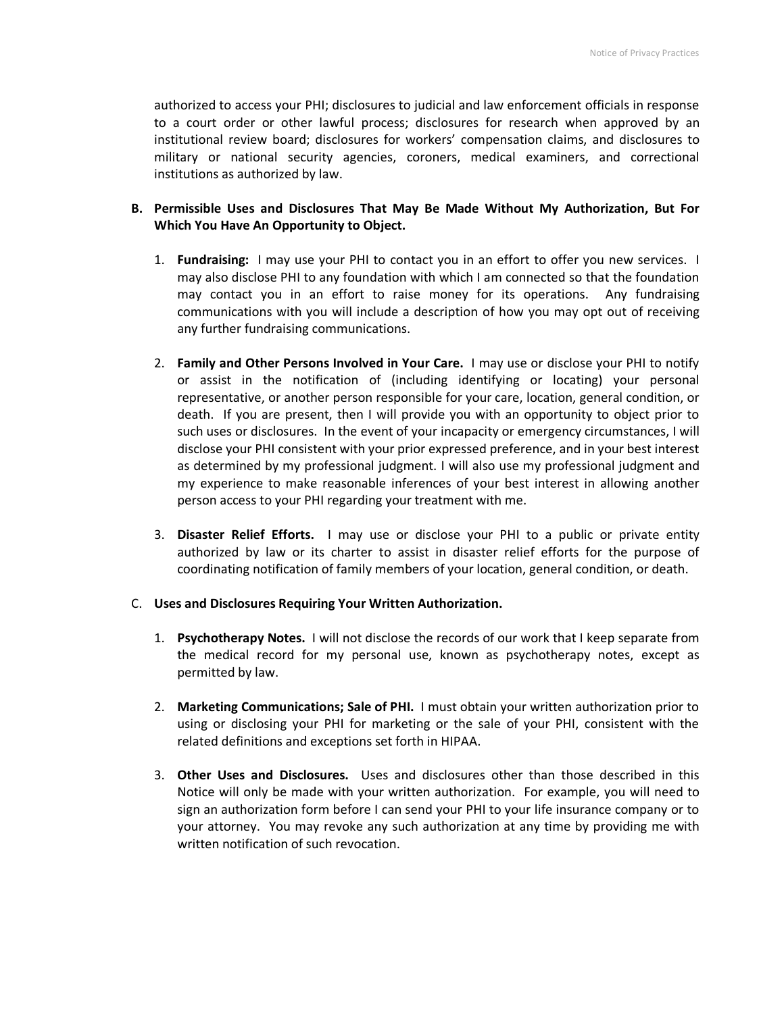authorized to access your PHI; disclosures to judicial and law enforcement officials in response to a court order or other lawful process; disclosures for research when approved by an institutional review board; disclosures for workers' compensation claims, and disclosures to military or national security agencies, coroners, medical examiners, and correctional institutions as authorized by law.

## **B. Permissible Uses and Disclosures That May Be Made Without My Authorization, But For Which You Have An Opportunity to Object.**

- 1. **Fundraising:** I may use your PHI to contact you in an effort to offer you new services. I may also disclose PHI to any foundation with which I am connected so that the foundation may contact you in an effort to raise money for its operations. Any fundraising communications with you will include a description of how you may opt out of receiving any further fundraising communications.
- 2. **Family and Other Persons Involved in Your Care.** I may use or disclose your PHI to notify or assist in the notification of (including identifying or locating) your personal representative, or another person responsible for your care, location, general condition, or death. If you are present, then I will provide you with an opportunity to object prior to such uses or disclosures. In the event of your incapacity or emergency circumstances, I will disclose your PHI consistent with your prior expressed preference, and in your best interest as determined by my professional judgment. I will also use my professional judgment and my experience to make reasonable inferences of your best interest in allowing another person access to your PHI regarding your treatment with me.
- 3. **Disaster Relief Efforts.** I may use or disclose your PHI to a public or private entity authorized by law or its charter to assist in disaster relief efforts for the purpose of coordinating notification of family members of your location, general condition, or death.

#### C. **Uses and Disclosures Requiring Your Written Authorization.**

- 1. **Psychotherapy Notes.** I will not disclose the records of our work that I keep separate from the medical record for my personal use, known as psychotherapy notes, except as permitted by law.
- 2. **Marketing Communications; Sale of PHI.** I must obtain your written authorization prior to using or disclosing your PHI for marketing or the sale of your PHI, consistent with the related definitions and exceptions set forth in HIPAA.
- 3. **Other Uses and Disclosures.** Uses and disclosures other than those described in this Notice will only be made with your written authorization. For example, you will need to sign an authorization form before I can send your PHI to your life insurance company or to your attorney. You may revoke any such authorization at any time by providing me with written notification of such revocation.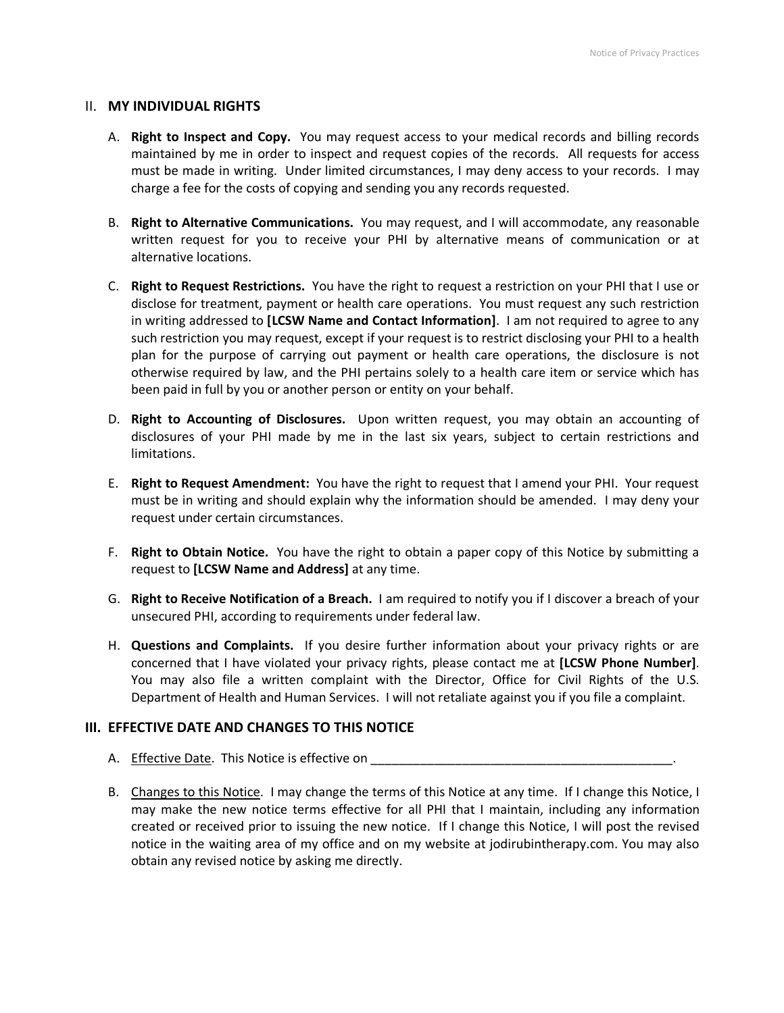#### II. **MY INDIVIDUAL RIGHTS**

- A. **Right to Inspect and Copy.** You may request access to your medical records and billing records maintained by me in order to inspect and request copies of the records. All requests for access must be made in writing. Under limited circumstances, I may deny access to your records. I may charge a fee for the costs of copying and sending you any records requested.
- B. **Right to Alternative Communications.** You may request, and I will accommodate, any reasonable written request for you to receive your PHI by alternative means of communication or at alternative locations.
- C. **Right to Request Restrictions.** You have the right to request a restriction on your PHI that I use or disclose for treatment, payment or health care operations. You must request any such restriction in writing addressed to **[LCSW Name and Contact Information]**. I am not required to agree to any such restriction you may request, except if your request is to restrict disclosing your PHI to a health plan for the purpose of carrying out payment or health care operations, the disclosure is not otherwise required by law, and the PHI pertains solely to a health care item or service which has been paid in full by you or another person or entity on your behalf.
- D. **Right to Accounting of Disclosures.** Upon written request, you may obtain an accounting of disclosures of your PHI made by me in the last six years, subject to certain restrictions and limitations.
- E. **Right to Request Amendment:** You have the right to request that I amend your PHI. Your request must be in writing and should explain why the information should be amended. I may deny your request under certain circumstances.
- F. **Right to Obtain Notice.** You have the right to obtain a paper copy of this Notice by submitting a request to **[LCSW Name and Address]** at any time.
- G. **Right to Receive Notification of a Breach.** I am required to notify you if I discover a breach of your unsecured PHI, according to requirements under federal law.
- H. **Questions and Complaints.** If you desire further information about your privacy rights or are concerned that I have violated your privacy rights, please contact me at **[LCSW Phone Number]**. You may also file a written complaint with the Director, Office for Civil Rights of the U.S. Department of Health and Human Services. I will not retaliate against you if you file a complaint.

#### **III. EFFECTIVE DATE AND CHANGES TO THIS NOTICE**

- A. Effective Date. This Notice is effective on \_\_\_\_\_\_\_\_\_\_\_\_\_\_\_\_\_\_\_\_\_\_\_\_\_\_\_\_\_\_\_\_\_
- B. Changes to this Notice. I may change the terms of this Notice at any time. If I change this Notice, I may make the new notice terms effective for all PHI that I maintain, including any information created or received prior to issuing the new notice. If I change this Notice, I will post the revised notice in the waiting area of my office and on my website at jodirubintherapy.com. You may also obtain any revised notice by asking me directly.